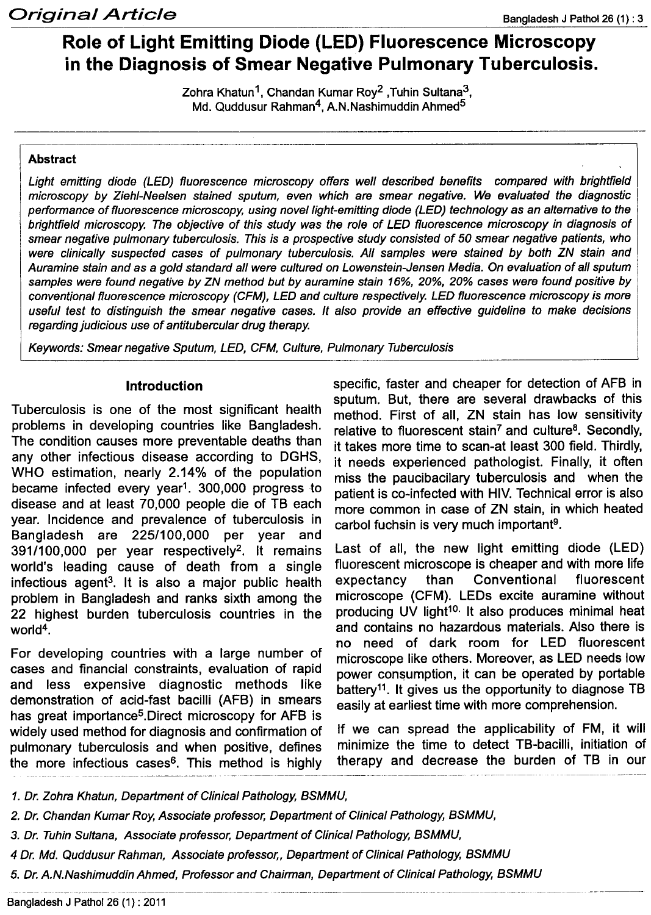# **Role of Light Emitting Diode (LED) Fluorescence Microscopy in the Diagnosis of Smear Negative Pulmonary Tuberculosis.**

Zohra Khatun 1, Chandan Kumar Roy2 ,Tuhin Sultana3, Md. Quddusur Rahman<sup>4</sup>, A.N.Nashimuddin Ahmed<sup>5</sup>

#### **Abstract**

*Light emitting diode (LED) fluorescence microscopy offers well described benefits compared with brightfield microscopy by Ziehl-Neelsen stained sputum, even which are smear negative. We evaluated the diagnostic performance* of *fluorescence microscopy, using novel light-emitting diode (LED) technology* as *an alternative to the brightfield microscopy. The objective* of *this study was the role* of *LED fluorescence microscopy in diagnosis of smear negative pulmonary tUberculosis. This is* a *prospective study consisted* of 50 *smear negative patients, who were clinically suspected cases* of *pulmonary tuberculosis. All samples were stained by both ZN stain and Auramine stain and* as a *gold standard all were cultured on Lowenstein-Jensen Media. On evaluation* of *all sputum* samples were found negative by ZN method but by auramine stain 16%, 20%, 20% cases were found positive by *conventional fluorescence microscopy (CFM), LED and culture respectively. LED fluorescence microscopy is more* useful test to distinguish the smear negative cases. It also provide an effective quideline to make decisions *regarding judicious use of antitubercular drug therapy.* 

*Keywords: Smear negative Sputum, LED, CFM, Culture, Pulmonary Tuberculosis*

#### **Introduction**

Tuberculosis is one of the most significant health problems in developing countries like Bangladesh. The condition causes more preventable deaths than any other infectious disease according to DGHS, WHO estimation, nearly 2.14% of the population became infected every year1. 300,000 progress to disease and at least 70,000 people die of TB each year. Incidence and prevalence of tuberculosis in Bangladesh are *225/100,000* per year and *391/100,000* per year respectively2. It remains world's leading cause of death from a single infectious agent<sup>3</sup>. It is also a major public health problem in Bangladesh and ranks sixth among the 22 highest burden tuberculosis countries in the world<sup>4</sup> .

For developing countries with a large number of cases and financial constraints, evaluation of rapid and less expensive diagnostic methods like demonstration of acid-fast bacilli (AFB) in smears has great importance<sup>5</sup>.Direct microscopy for AFB is widely used method for diagnosis and confirmation of pulmonary tuberculosis and when positive, defines the more infectious cases<sup>6</sup>. This method is highly

specific, faster and cheaper for detection of AFB in sputum. But, there are several drawbacks of this method. First of all, ZN stain has low sensitivity relative to fluorescent stain<sup>7</sup> and culture<sup>8</sup>. Secondly, it takes more time to scan-at least 300 field. Thirdly, it needs experienced pathologist. Finally, it often miss the paucibacilary tuberculosis and when the patient is co-infected with HIV. Technical error is also more common in case of ZN stain, in which heated carbol fuchsin is very much important<sup>9</sup>

Last of all, the new light emitting diode (LED) fluorescent microscope is cheaper and with more life expectancy than Conventional fluorescent microscope (CFM). LEOs excite auramine without producing UV light<sup>10.</sup> It also produces minimal heat and contains no hazardous materials. Also there is no need of dark room for LED fluorescent microscope like others. Moreover, as LED needs low power consumption, it can be operated by portable battery<sup>11</sup>. It gives us the opportunity to diagnose TB easily at earliest time with more comprehension.

If we can spread the applicability of FM, it will minimize the time to detect TB-bacilli, initiation of therapy and decrease the burden of TB in our

*1. Dr. Zohra Khatun, Department* of *Clinical Pathology, BSMMU,*

*2. Dr. Chandan Kumar Roy,Associate professor, Department* of *Clinical Pathology, BSMMU,*

*3. Dr. TuhinSultana, Associate professor, Department* of *Clinical Pathology, BSMMU,*

*4 Dr. Md. Quddusur Rahman, Associate professor" Department* of *Clinical Pathology, BSMMU*

*5. Dr.A.N.Nashimuddin Ahmed, Professor and Chairman, Department* of *Clinical Pathology, BSMMU*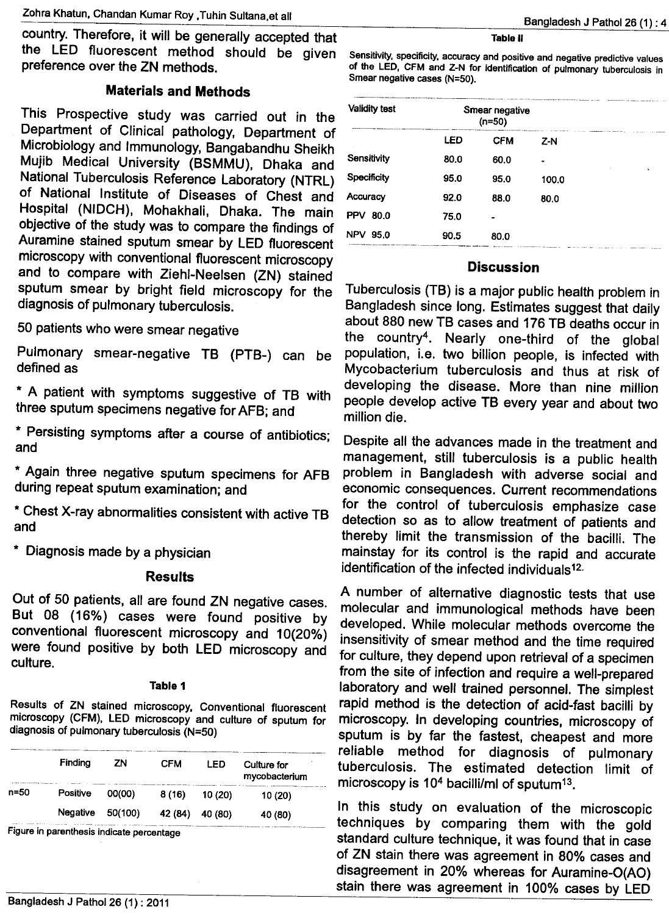country. Therefore, it will be generally accepted that the LED fluorescent method should be given preference over the ZN methods.

# Materials and Methods

This Prospective study was carried out in the Department of Clinical pathology, Department of Microbiology and Immunology, Bangabandhu Sheikh Mujib Medical University (BSMMU), Dhaka and National Tuberculosis Reference Laboratory (NTRL) of National Institute of Diseases of Chest and Hospital (NIDCH), Mohakhali, Dhaka. The main objective of the study was to compare the findings of Auramine stained sputum smear by LED fluorescent microscopy with conventional fluorescent microscopy and to compare with Ziehl-Neelsen (ZN) stained sputum smear by bright field microscopy for the diagnosis of pulmonary tuberculosis.

50 patients who were smear negative

PUlmonary smear-negative TB (PTB-) can be defined as

\* A patient with symptoms suggestive of TB with three sputum specimens negative for AFB; and

\* Persisting symptoms after a course of antibiotics; and

\* Again three negative sputum specimens for AFB during repeat sputum examination; and

\* Chest X-ray abnormalities consistent with active TB and

\* Diagnosis made by a physician

## **Results**

Out of 50 patients, all are found ZN negative cases. But 08 (16%) cases were found positive by conventional fluorescent microscopy and 10(20%) were found positive by both LED microscopy and culture.

## Table 1

Results of ZN stained microscopy, Conventional fluorescent microscopy (CFM), LED microscopy and culture of sputum for diagnosis of pulmonary tuberculosis (N=50)

|      | Finding  | ΖN      | <b>CFM</b> | LED     | Culture for<br>mycobacterium |
|------|----------|---------|------------|---------|------------------------------|
| n=50 | Positive | 00(00)  | 8(16)      | 10 (20) | 10 (20)                      |
|      | Negative | 50(100) | 42 (84)    | 40 (80) | 40 (80)                      |

Figure in parenthesis indicate percentage

#### Table II

Sensitivity, specificity, accuracy and positive and negative predictive values of the LED, CFM and Z-N for identification of pUlmonary tuberculosis in Smear negative cases (N=50).

| <b>Validity test</b> | Smear negative<br>$(n=50)$ |                |       |           |
|----------------------|----------------------------|----------------|-------|-----------|
|                      | LED                        | <b>CFM</b>     | $Z-N$ |           |
| Sensitivity          | 80.0                       | 60.0           |       |           |
| Specificity          | 95.0                       | 95.0           | 100.0 | $\lambda$ |
| Accuracy             | 92.0                       | 88.0           | 80.0  |           |
| <b>PPV</b><br>80.0   | 75.0                       | $\blacksquare$ |       |           |
| <b>NPV</b><br>95.0   | 90.5                       | 80.0           |       |           |

# **Discussion**

Tuberculosis (TB) is a major public health problem in Bangladesh since long. Estimates suggest that daily about 880 new TB cases and 176 TB deaths occur in the country4. Nearly one-third of the global population, i.e. two billion people, is infected with Mycobacterium tuberculosis and thus at risk of developing the disease. More than nine million people develop active TB every year and about two million die.

Despite all the advances made in the treatment and management, still tuberculosis is a public health problem in Bangladesh with adverse social and economic consequences. Current recommendations for the control of tuberculosis emphasize case detection so as to allow treatment of patients and thereby limit the transmission of the bacilli. The mainstay for its control is the rapid and accurate identification of the infected individuals<sup>12.</sup>

A number of alternative diagnostic tests that use molecular and immunological methods have been developed. While molecular methods overcome the insensitivity of smear method and the time required for culture, they depend upon retrieval of a specimen from the site of infection and require a well-prepared laboratory and well trained personnel. The simplest rapid method is the detection of acid-fast bacilli by microscopy. In developing countries, microscopy of sputum is by far the fastest, cheapest and more reliable method for diagnosis of pulmonary tuberculosis. The estimated detection limit of microscopy is  $10<sup>4</sup>$  bacilli/ml of sputum<sup>13</sup>.

In this study on evaluation of the microscopic techniques by comparing them with the gold standard culture technique, it was found that in case of ZN stain there was agreement in 80% cases and disagreement in 20% whereas for Auramine-O(AO) stain there was agreement in 100% cases by LED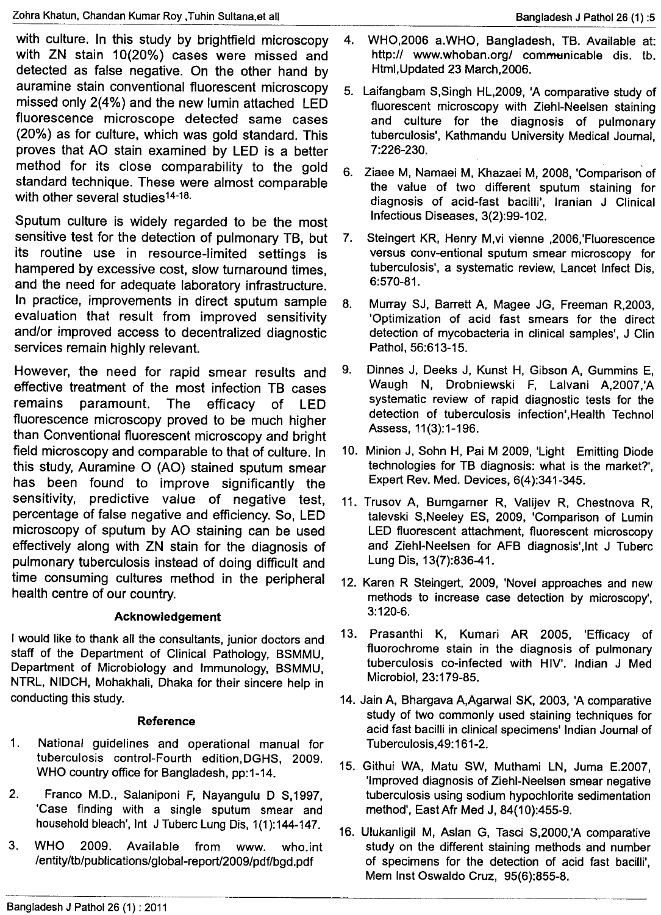with culture. In this study by brightfield microscopy with ZN stain 10(20%) cases were missed and detected as false negative. On the other hand by auramine stain conventional fluorescent microscopy missed only 2(4%) and the new lumin attached LED fluorescence microscope detected same cases (20%) as for culture, which was gold standard. This proves that AO stain examined by LED is a better method for its close comparability to the gold standard technique. These were almost comparable with other several studies<sup>14-18</sup>

Sputum culture is widely regarded to be the most sensitive test for the detection of pulmonary TB, but its routine use in resource-limited settings is hampered by excessive cost, slow turnaround times, and the need for adequate laboratory infrastructure. In practice, improvements in direct sputum sample evaluation that result from improved sensitivity and/or improved access to decentralized diagnostic services remain highly relevant.

However, the need for rapid smear results and effective treatment of the most infection TB cases<br>remains paramount. The efficacy of LED paramount. The efficacy of LED fluorescence microscopy proved to be much higher than Conventional fluorescent microscopy and bright field microscopy and comparable to that of culture. In this study, Auramine 0 (AO) stained sputum smear has been found to improve significantly the sensitivity, predictive value of negative test, percentage of false negative and efficiency. So, LED microscopy of sputum by AO staining can be used effectively along with ZN stain for the diagnosis of pulmonary tuberculosis instead of doing difficult and time consuming cultures method in the peripheral health centre of our country.

# Acknowledgement

I would like to thank all the consultants, junior doctors and staff of the Department of Clinical Pathology, BSMMU, Department of Microbiology and Immunology, BSMMU, NTRL, NIDCH, Mohakhali, Dhaka for their sincere help in conducting this study.

## Reference

- 1. National guidelines and operational manual for tuberculosis control-Fourth edition,DGHS, 2009. WHO country office for Bangladesh, pp:1-14.
- 2. Franco M.D., Salaniponi F, Nayangulu D S,1997, 'Case finding with a single sputum smear and household bleach', Int J Tuberc Lung Dis, 1(1):144-147.
- 3. WHO 2009. Available from www. who.int /entity/tb/publications/global-report/2009/pdf/bgd .pdf
- 4. WHO,2006 a.wHO, Bangladesh, T8. Available at: http:// [www.whoban.org/](http://www.whoban.org/) communicable dis. tb. Html,Updated 23 March,2006.
- 5. Laifangbam S,Singh HL,2009, 'A comparative study of fluorescent microscopy with Ziehl-Neelsen staining and culture for the diagnosis of pulmonary tuberculosis', Kathmandu University Medical Journal, 7:226-230.
- 6. Ziaee M, Namaei M, Khazaei M, 2008, 'Comparison of the value of two different sputum staining for diagnosis of acid-fast bacilli', Iranian J Clinical Infectious Diseases, 3(2):99-102.
- 7. Steingert KR, Henry M,vi vienne ,2006,'Fluorescence versus conv-entional sputum smear microscopy for tuberculosis', a systematic review, Lancet Infect Dis, 6:570-81.
- 8. Murray SJ, Barrett A, Magee JG, Freeman R,2003, 'Optimization of acid fast smears for the direct detection of mycobacteria in clinical samples', J Clin Pathol, 56:613-15.
- 9. Dinnes J, Deeks J, Kunst H, Gibson A, Gummins E, Waugh N, Drobniewski F, Lalvani A,2007,'A systematic review of rapid diagnostic tests for the detection of tuberculosis infection',Health Technol Assess, 11(3):1-196.
- 10. Minion J, Sohn H, Pai M 2009, 'Light Emitting Diode technologies for TB diagnosis: what is the market?', Expert Rev. Med. Devices, 6(4):341-345.
- 11. Trusov A, Bumgarner R, Valijev R, Chestnova R, talevski S,Neeley ES, 2009, 'Comparison of Lumin LED fluorescent attachment, fluorescent microscopy and Ziehl-Neelsen for AFB diagnosis',lnt J Tuberc Lung Dis, 13(7):836-41.
- 12. Karen R Steingert, 2009, 'Novel approaches and new methods to increase case detection by microscopy', 3:120-6.
- 13. Prasanthi K, Kumari AR 2005, 'Efficacy of fluorochrome stain in the diagnosis of pulmonary tuberculosis co-infected with HIV'. Indian J Med Microbiol, 23:179-85.
- 14. Jain A, Bhargava A,Agarwal SK, 2003, 'A comparative study of two commonly used staining techniques for acid fast bacilli in clinical specimens' Indian Journal of Tuberculosis,49: 161-2.
- 15. Githui WA, Matu SW, Muthami LN, Juma E.2007, 'Improved diagnosis of Ziehl-Neelsen smear negative tuberculosis using sodium hypochlorite sedimentation method', EastAfr Med J, 84(10):455-9.
- 16. Ulukanligil M, Asian G, Tasci S,2000,'A comparative study on the different staining methods and number of specimens for the detection of acid fast bacilli', Mem Inst Oswaldo Cruz, 95(6):855-8.